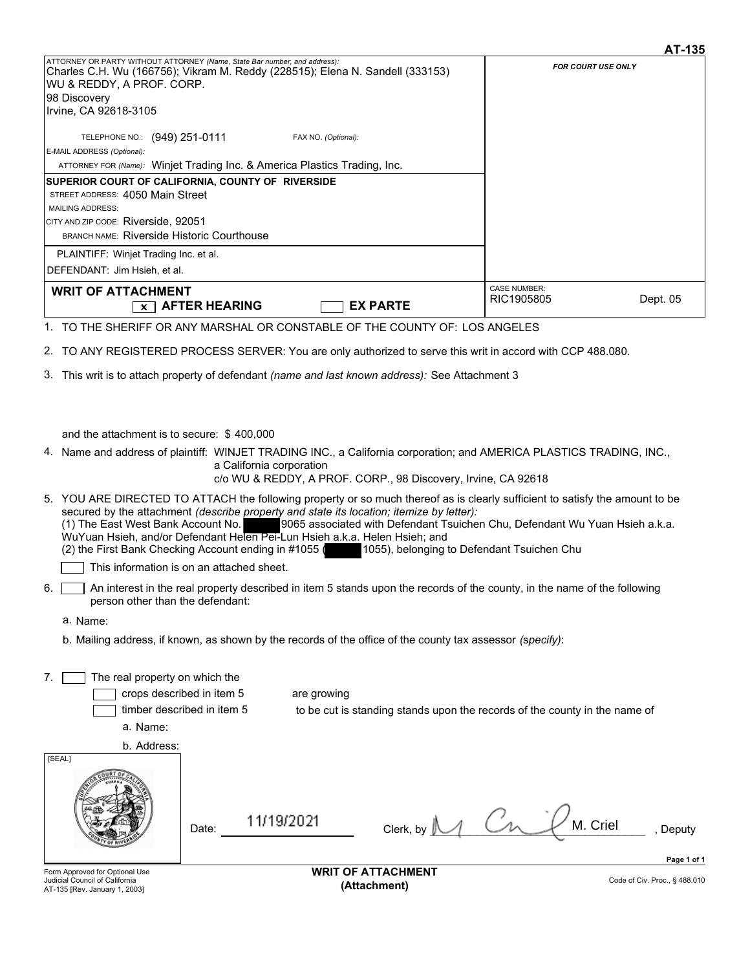|                                                                 |                                                                                                                                                                                 | AT-135                        |
|-----------------------------------------------------------------|---------------------------------------------------------------------------------------------------------------------------------------------------------------------------------|-------------------------------|
| WU & REDDY, A PROF. CORP.                                       | ATTORNEY OR PARTY WITHOUT ATTORNEY (Name, State Bar number, and address):<br>Charles C.H. Wu (166756); Vikram M. Reddy (228515); Elena N. Sandell (333153)                      | <b>FOR COURT USE ONLY</b>     |
| 98 Discovery                                                    |                                                                                                                                                                                 |                               |
| Irvine, CA 92618-3105                                           |                                                                                                                                                                                 |                               |
|                                                                 |                                                                                                                                                                                 |                               |
| TELEPHONE NO.: (949) 251-0111<br>E-MAIL ADDRESS (Optional):     | FAX NO. (Optional):                                                                                                                                                             |                               |
|                                                                 | ATTORNEY FOR (Name): Winjet Trading Inc. & America Plastics Trading, Inc.                                                                                                       |                               |
|                                                                 | SUPERIOR COURT OF CALIFORNIA, COUNTY OF RIVERSIDE                                                                                                                               |                               |
| STREET ADDRESS: 4050 Main Street                                |                                                                                                                                                                                 |                               |
| <b>MAILING ADDRESS:</b>                                         |                                                                                                                                                                                 |                               |
| CITY AND ZIP CODE: Riverside, 92051                             |                                                                                                                                                                                 |                               |
| <b>BRANCH NAME: Riverside Historic Courthouse</b>               |                                                                                                                                                                                 |                               |
| PLAINTIFF: Winjet Trading Inc. et al.                           |                                                                                                                                                                                 |                               |
| DEFENDANT: Jim Hsieh, et al.                                    |                                                                                                                                                                                 |                               |
| <b>WRIT OF ATTACHMENT</b>                                       |                                                                                                                                                                                 | <b>CASE NUMBER:</b>           |
| x <sub>1</sub>                                                  | <b>AFTER HEARING</b><br><b>EX PARTE</b>                                                                                                                                         | Dept. 05<br>RIC1905805        |
|                                                                 |                                                                                                                                                                                 |                               |
|                                                                 | 1. TO THE SHERIFF OR ANY MARSHAL OR CONSTABLE OF THE COUNTY OF: LOS ANGELES                                                                                                     |                               |
|                                                                 | 2. TO ANY REGISTERED PROCESS SERVER: You are only authorized to serve this writ in accord with CCP 488.080.                                                                     |                               |
|                                                                 | 3. This writ is to attach property of defendant <i>(name and last known address):</i> See Attachment 3                                                                          |                               |
|                                                                 |                                                                                                                                                                                 |                               |
|                                                                 |                                                                                                                                                                                 |                               |
|                                                                 |                                                                                                                                                                                 |                               |
| and the attachment is to secure: \$400,000                      |                                                                                                                                                                                 |                               |
|                                                                 | 4. Name and address of plaintiff: WINJET TRADING INC., a California corporation; and AMERICA PLASTICS TRADING, INC.,                                                            |                               |
|                                                                 | a California corporation                                                                                                                                                        |                               |
|                                                                 | c/o WU & REDDY, A PROF. CORP., 98 Discovery, Irvine, CA 92618                                                                                                                   |                               |
|                                                                 | 5. YOU ARE DIRECTED TO ATTACH the following property or so much thereof as is clearly sufficient to satisfy the amount to be                                                    |                               |
|                                                                 | secured by the attachment (describe property and state its location; itemize by letter):                                                                                        |                               |
| (1) The East West Bank Account No.                              | 9065 associated with Defendant Tsuichen Chu, Defendant Wu Yuan Hsieh a.k.a.                                                                                                     |                               |
|                                                                 | WuYuan Hsieh, and/or Defendant Helen Pei-Lun Hsieh a.k.a. Helen Hsieh; and<br>(2) the First Bank Checking Account ending in #1055<br>1055), belonging to Defendant Tsuichen Chu |                               |
|                                                                 |                                                                                                                                                                                 |                               |
|                                                                 | This information is on an attached sheet.                                                                                                                                       |                               |
| 6.<br>person other than the defendant:                          | An interest in the real property described in item 5 stands upon the records of the county, in the name of the following                                                        |                               |
| a. Name:                                                        |                                                                                                                                                                                 |                               |
|                                                                 | b. Mailing address, if known, as shown by the records of the office of the county tax assessor (specify):                                                                       |                               |
|                                                                 |                                                                                                                                                                                 |                               |
|                                                                 |                                                                                                                                                                                 |                               |
| The real property on which the<br>7.                            |                                                                                                                                                                                 |                               |
|                                                                 | crops described in item 5<br>are growing                                                                                                                                        |                               |
|                                                                 | timber described in item 5<br>to be cut is standing stands upon the records of the county in the name of                                                                        |                               |
| a. Name:                                                        |                                                                                                                                                                                 |                               |
| b. Address:                                                     |                                                                                                                                                                                 |                               |
| [SEAL]                                                          |                                                                                                                                                                                 |                               |
|                                                                 |                                                                                                                                                                                 |                               |
|                                                                 |                                                                                                                                                                                 |                               |
|                                                                 |                                                                                                                                                                                 |                               |
|                                                                 | Clerk, by M Cni<br>11/19/2021<br>Date:                                                                                                                                          | M. Criel<br>Deputy            |
|                                                                 |                                                                                                                                                                                 |                               |
|                                                                 |                                                                                                                                                                                 | Page 1 of 1                   |
| Form Approved for Optional Use                                  | <b>WRIT OF ATTACHMENT</b>                                                                                                                                                       |                               |
| Judicial Council of California<br>AT-135 [Rev. January 1, 2003] | (Attachment)                                                                                                                                                                    | Code of Civ. Proc., § 488.010 |